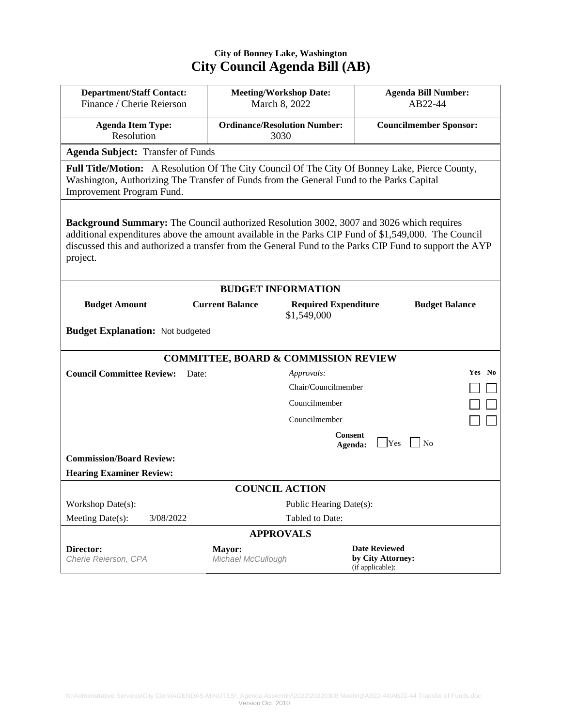## **City of Bonney Lake, Washington City Council Agenda Bill (AB)**

| <b>Department/Staff Contact:</b><br>Finance / Cherie Reierson                                                                                                                                                   | <b>Meeting/Workshop Date:</b><br>March 8, 2022 |                       | <b>Agenda Bill Number:</b><br>AB22-44 |        |
|-----------------------------------------------------------------------------------------------------------------------------------------------------------------------------------------------------------------|------------------------------------------------|-----------------------|---------------------------------------|--------|
|                                                                                                                                                                                                                 |                                                |                       |                                       |        |
| <b>Agenda Item Type:</b>                                                                                                                                                                                        | <b>Ordinance/Resolution Number:</b>            |                       | <b>Councilmember Sponsor:</b>         |        |
| Resolution                                                                                                                                                                                                      | 3030                                           |                       |                                       |        |
| <b>Agenda Subject: Transfer of Funds</b>                                                                                                                                                                        |                                                |                       |                                       |        |
| Full Title/Motion: A Resolution Of The City Council Of The City Of Bonney Lake, Pierce County,                                                                                                                  |                                                |                       |                                       |        |
| Washington, Authorizing The Transfer of Funds from the General Fund to the Parks Capital<br>Improvement Program Fund.                                                                                           |                                                |                       |                                       |        |
|                                                                                                                                                                                                                 |                                                |                       |                                       |        |
|                                                                                                                                                                                                                 |                                                |                       |                                       |        |
| <b>Background Summary:</b> The Council authorized Resolution 3002, 3007 and 3026 which requires                                                                                                                 |                                                |                       |                                       |        |
| additional expenditures above the amount available in the Parks CIP Fund of \$1,549,000. The Council<br>discussed this and authorized a transfer from the General Fund to the Parks CIP Fund to support the AYP |                                                |                       |                                       |        |
| project.                                                                                                                                                                                                        |                                                |                       |                                       |        |
|                                                                                                                                                                                                                 |                                                |                       |                                       |        |
| <b>BUDGET INFORMATION</b>                                                                                                                                                                                       |                                                |                       |                                       |        |
| <b>Current Balance</b><br><b>Budget Amount</b>                                                                                                                                                                  | <b>Required Expenditure</b>                    | <b>Budget Balance</b> |                                       |        |
| \$1,549,000                                                                                                                                                                                                     |                                                |                       |                                       |        |
| <b>Budget Explanation: Not budgeted</b>                                                                                                                                                                         |                                                |                       |                                       |        |
|                                                                                                                                                                                                                 |                                                |                       |                                       |        |
| <b>COMMITTEE, BOARD &amp; COMMISSION REVIEW</b>                                                                                                                                                                 |                                                |                       |                                       |        |
| <b>Council Committee Review:</b><br>Date:                                                                                                                                                                       |                                                | Approvals:            |                                       | Yes No |
|                                                                                                                                                                                                                 |                                                | Chair/Councilmember   |                                       |        |
|                                                                                                                                                                                                                 |                                                | Councilmember         |                                       |        |
|                                                                                                                                                                                                                 |                                                | Councilmember         |                                       |        |
|                                                                                                                                                                                                                 |                                                | <b>Consent</b>        |                                       |        |
|                                                                                                                                                                                                                 |                                                | Agenda:               | Yes<br>N <sub>o</sub>                 |        |
| <b>Commission/Board Review:</b>                                                                                                                                                                                 |                                                |                       |                                       |        |
| <b>Hearing Examiner Review:</b>                                                                                                                                                                                 |                                                |                       |                                       |        |
| <b>COUNCIL ACTION</b>                                                                                                                                                                                           |                                                |                       |                                       |        |
| Workshop Date(s):                                                                                                                                                                                               | Public Hearing Date(s):                        |                       |                                       |        |
| Meeting Date(s):<br>3/08/2022                                                                                                                                                                                   |                                                | Tabled to Date:       |                                       |        |
| <b>APPROVALS</b>                                                                                                                                                                                                |                                                |                       |                                       |        |
| Director:                                                                                                                                                                                                       | Mayor:                                         |                       | <b>Date Reviewed</b>                  |        |
| Cherie Reierson, CPA                                                                                                                                                                                            | Michael McCullough                             |                       | by City Attorney:<br>(if applicable): |        |